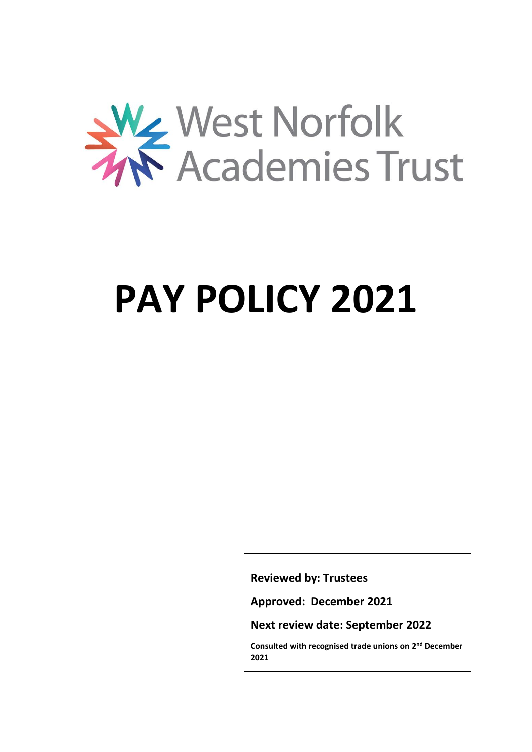

# **PAY POLICY 2021**

**Reviewed by: Trustees**

**Approved: December 2021**

**Next review date: September 2022**

**Consulted with recognised trade unions on 2 nd December 2021**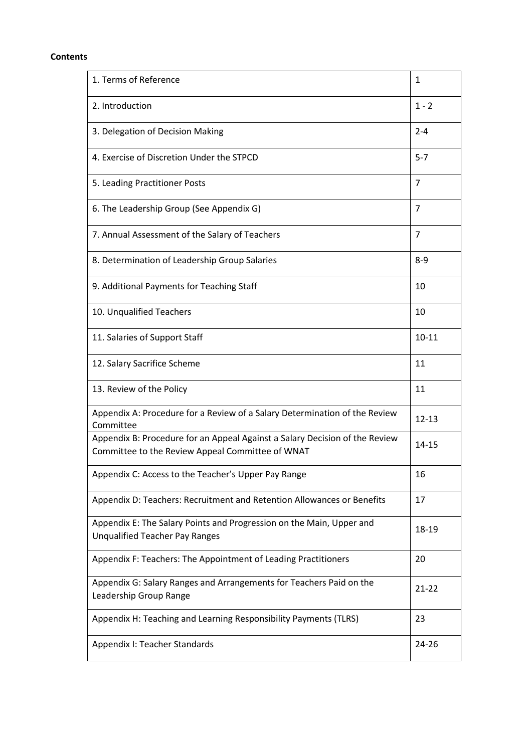#### **Contents**

| 1. Terms of Reference                                                                                                           | $\mathbf{1}$   |
|---------------------------------------------------------------------------------------------------------------------------------|----------------|
| 2. Introduction                                                                                                                 | $1 - 2$        |
| 3. Delegation of Decision Making                                                                                                | $2 - 4$        |
| 4. Exercise of Discretion Under the STPCD                                                                                       | $5 - 7$        |
| 5. Leading Practitioner Posts                                                                                                   | $\overline{7}$ |
| 6. The Leadership Group (See Appendix G)                                                                                        | 7              |
| 7. Annual Assessment of the Salary of Teachers                                                                                  | $\overline{7}$ |
| 8. Determination of Leadership Group Salaries                                                                                   | $8 - 9$        |
| 9. Additional Payments for Teaching Staff                                                                                       | 10             |
| 10. Unqualified Teachers                                                                                                        | 10             |
| 11. Salaries of Support Staff                                                                                                   | $10 - 11$      |
| 12. Salary Sacrifice Scheme                                                                                                     | 11             |
| 13. Review of the Policy                                                                                                        | 11             |
| Appendix A: Procedure for a Review of a Salary Determination of the Review<br>Committee                                         | $12 - 13$      |
| Appendix B: Procedure for an Appeal Against a Salary Decision of the Review<br>Committee to the Review Appeal Committee of WNAT | $14 - 15$      |
| Appendix C: Access to the Teacher's Upper Pay Range                                                                             | 16             |
| Appendix D: Teachers: Recruitment and Retention Allowances or Benefits                                                          | 17             |
| Appendix E: The Salary Points and Progression on the Main, Upper and<br><b>Unqualified Teacher Pay Ranges</b>                   | 18-19          |
| Appendix F: Teachers: The Appointment of Leading Practitioners                                                                  | 20             |
| Appendix G: Salary Ranges and Arrangements for Teachers Paid on the<br>Leadership Group Range                                   | $21 - 22$      |
| Appendix H: Teaching and Learning Responsibility Payments (TLRS)                                                                | 23             |
| Appendix I: Teacher Standards                                                                                                   | $24 - 26$      |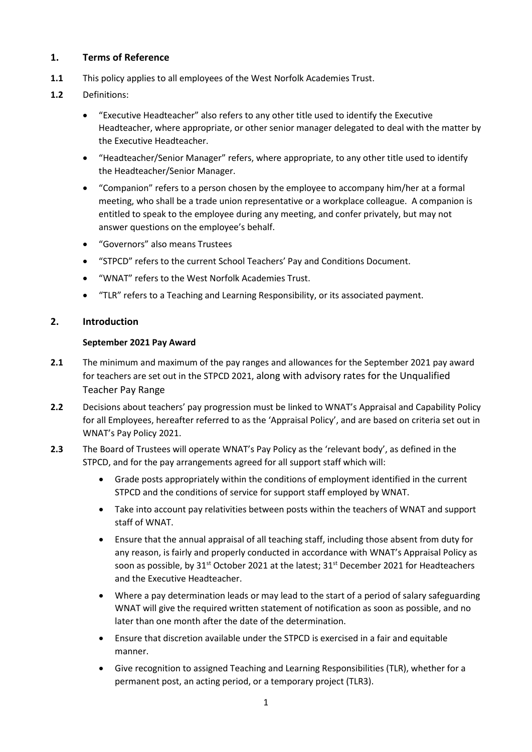## **1. Terms of Reference**

- **1.1** This policy applies to all employees of the West Norfolk Academies Trust.
- **1.2** Definitions:
	- "Executive Headteacher" also refers to any other title used to identify the Executive Headteacher, where appropriate, or other senior manager delegated to deal with the matter by the Executive Headteacher.
	- "Headteacher/Senior Manager" refers, where appropriate, to any other title used to identify the Headteacher/Senior Manager.
	- "Companion" refers to a person chosen by the employee to accompany him/her at a formal meeting, who shall be a trade union representative or a workplace colleague. A companion is entitled to speak to the employee during any meeting, and confer privately, but may not answer questions on the employee's behalf.
	- "Governors" also means Trustees
	- "STPCD" refers to the current School Teachers' Pay and Conditions Document.
	- "WNAT" refers to the West Norfolk Academies Trust.
	- "TLR" refers to a Teaching and Learning Responsibility, or its associated payment.

## **2. Introduction**

## **September 2021 Pay Award**

- **2.1** The minimum and maximum of the pay ranges and allowances for the September 2021 pay award for teachers are set out in the STPCD 2021, along with advisory rates for the Unqualified Teacher Pay Range
- **2.2** Decisions about teachers' pay progression must be linked to WNAT's Appraisal and Capability Policy for all Employees, hereafter referred to as the 'Appraisal Policy', and are based on criteria set out in WNAT's Pay Policy 2021.
- **2.3** The Board of Trustees will operate WNAT's Pay Policy as the 'relevant body', as defined in the STPCD, and for the pay arrangements agreed for all support staff which will:
	- Grade posts appropriately within the conditions of employment identified in the current STPCD and the conditions of service for support staff employed by WNAT.
	- Take into account pay relativities between posts within the teachers of WNAT and support staff of WNAT.
	- Ensure that the annual appraisal of all teaching staff, including those absent from duty for any reason, is fairly and properly conducted in accordance with WNAT's Appraisal Policy as soon as possible, by 31<sup>st</sup> October 2021 at the latest; 31<sup>st</sup> December 2021 for Headteachers and the Executive Headteacher.
	- Where a pay determination leads or may lead to the start of a period of salary safeguarding WNAT will give the required written statement of notification as soon as possible, and no later than one month after the date of the determination.
	- Ensure that discretion available under the STPCD is exercised in a fair and equitable manner.
	- Give recognition to assigned Teaching and Learning Responsibilities (TLR), whether for a permanent post, an acting period, or a temporary project (TLR3).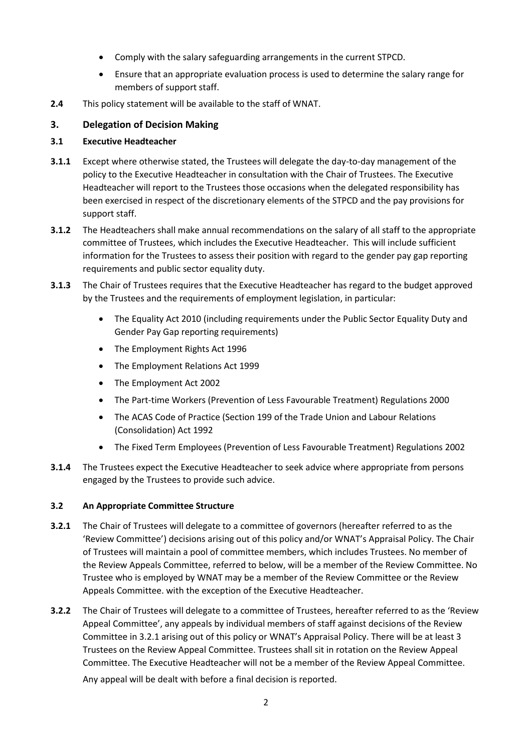- Comply with the salary safeguarding arrangements in the current STPCD.
- Ensure that an appropriate evaluation process is used to determine the salary range for members of support staff.
- **2.4** This policy statement will be available to the staff of WNAT.

## **3. Delegation of Decision Making**

## **3.1 Executive Headteacher**

- **3.1.1** Except where otherwise stated, the Trustees will delegate the day-to-day management of the policy to the Executive Headteacher in consultation with the Chair of Trustees. The Executive Headteacher will report to the Trustees those occasions when the delegated responsibility has been exercised in respect of the discretionary elements of the STPCD and the pay provisions for support staff.
- **3.1.2** The Headteachers shall make annual recommendations on the salary of all staff to the appropriate committee of Trustees, which includes the Executive Headteacher. This will include sufficient information for the Trustees to assess their position with regard to the gender pay gap reporting requirements and public sector equality duty.
- **3.1.3** The Chair of Trustees requires that the Executive Headteacher has regard to the budget approved by the Trustees and the requirements of employment legislation, in particular:
	- The Equality Act 2010 (including requirements under the Public Sector Equality Duty and Gender Pay Gap reporting requirements)
	- The Employment Rights Act 1996
	- The Employment Relations Act 1999
	- The Employment Act 2002
	- The Part-time Workers (Prevention of Less Favourable Treatment) Regulations 2000
	- The ACAS Code of Practice (Section 199 of the Trade Union and Labour Relations (Consolidation) Act 1992
	- The Fixed Term Employees (Prevention of Less Favourable Treatment) Regulations 2002
- **3.1.4** The Trustees expect the Executive Headteacher to seek advice where appropriate from persons engaged by the Trustees to provide such advice.

## **3.2 An Appropriate Committee Structure**

- **3.2.1** The Chair of Trustees will delegate to a committee of governors (hereafter referred to as the 'Review Committee') decisions arising out of this policy and/or WNAT's Appraisal Policy. The Chair of Trustees will maintain a pool of committee members, which includes Trustees. No member of the Review Appeals Committee, referred to below, will be a member of the Review Committee. No Trustee who is employed by WNAT may be a member of the Review Committee or the Review Appeals Committee. with the exception of the Executive Headteacher.
- **3.2.2** The Chair of Trustees will delegate to a committee of Trustees, hereafter referred to as the 'Review Appeal Committee', any appeals by individual members of staff against decisions of the Review Committee in 3.2.1 arising out of this policy or WNAT's Appraisal Policy. There will be at least 3 Trustees on the Review Appeal Committee. Trustees shall sit in rotation on the Review Appeal Committee. The Executive Headteacher will not be a member of the Review Appeal Committee.

Any appeal will be dealt with before a final decision is reported.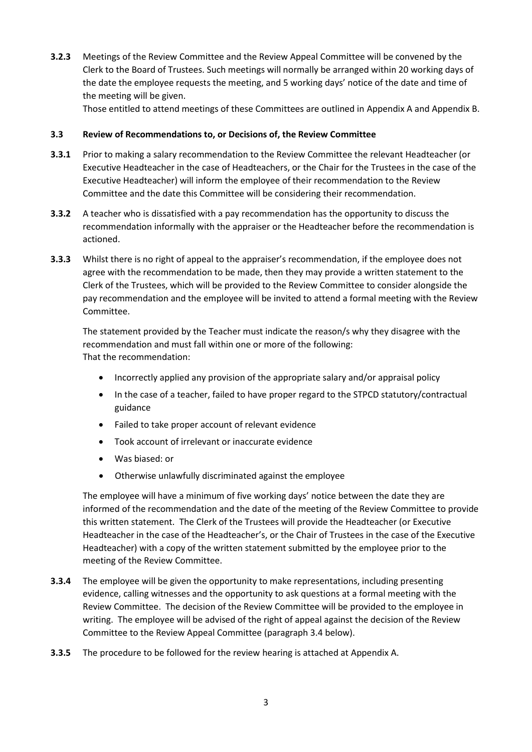**3.2.3** Meetings of the Review Committee and the Review Appeal Committee will be convened by the Clerk to the Board of Trustees. Such meetings will normally be arranged within 20 working days of the date the employee requests the meeting, and 5 working days' notice of the date and time of the meeting will be given.

Those entitled to attend meetings of these Committees are outlined in Appendix A and Appendix B.

#### **3.3 Review of Recommendations to, or Decisions of, the Review Committee**

- **3.3.1** Prior to making a salary recommendation to the Review Committee the relevant Headteacher (or Executive Headteacher in the case of Headteachers, or the Chair for the Trustees in the case of the Executive Headteacher) will inform the employee of their recommendation to the Review Committee and the date this Committee will be considering their recommendation.
- **3.3.2** A teacher who is dissatisfied with a pay recommendation has the opportunity to discuss the recommendation informally with the appraiser or the Headteacher before the recommendation is actioned.
- **3.3.3** Whilst there is no right of appeal to the appraiser's recommendation, if the employee does not agree with the recommendation to be made, then they may provide a written statement to the Clerk of the Trustees, which will be provided to the Review Committee to consider alongside the pay recommendation and the employee will be invited to attend a formal meeting with the Review Committee.

The statement provided by the Teacher must indicate the reason/s why they disagree with the recommendation and must fall within one or more of the following: That the recommendation:

- Incorrectly applied any provision of the appropriate salary and/or appraisal policy
- In the case of a teacher, failed to have proper regard to the STPCD statutory/contractual guidance
- Failed to take proper account of relevant evidence
- Took account of irrelevant or inaccurate evidence
- Was biased: or
- Otherwise unlawfully discriminated against the employee

The employee will have a minimum of five working days' notice between the date they are informed of the recommendation and the date of the meeting of the Review Committee to provide this written statement. The Clerk of the Trustees will provide the Headteacher (or Executive Headteacher in the case of the Headteacher's, or the Chair of Trustees in the case of the Executive Headteacher) with a copy of the written statement submitted by the employee prior to the meeting of the Review Committee.

- **3.3.4** The employee will be given the opportunity to make representations, including presenting evidence, calling witnesses and the opportunity to ask questions at a formal meeting with the Review Committee. The decision of the Review Committee will be provided to the employee in writing. The employee will be advised of the right of appeal against the decision of the Review Committee to the Review Appeal Committee (paragraph 3.4 below).
- **3.3.5** The procedure to be followed for the review hearing is attached at Appendix A.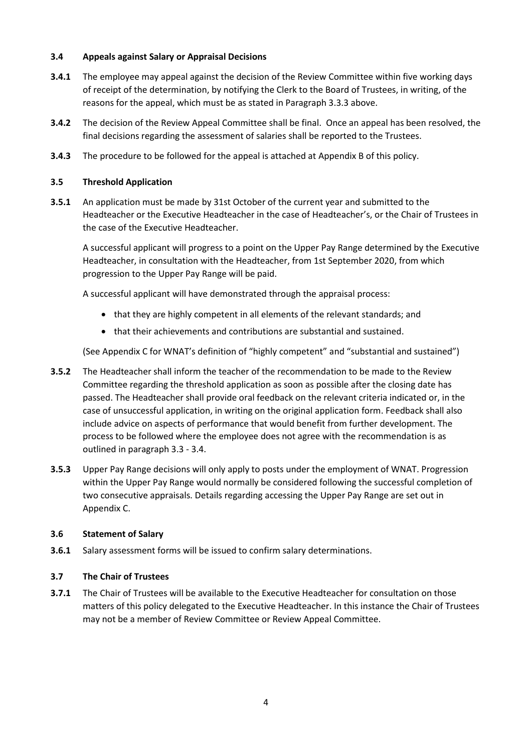#### **3.4 Appeals against Salary or Appraisal Decisions**

- **3.4.1** The employee may appeal against the decision of the Review Committee within five working days of receipt of the determination, by notifying the Clerk to the Board of Trustees, in writing, of the reasons for the appeal, which must be as stated in Paragraph 3.3.3 above.
- **3.4.2** The decision of the Review Appeal Committee shall be final. Once an appeal has been resolved, the final decisions regarding the assessment of salaries shall be reported to the Trustees.
- **3.4.3** The procedure to be followed for the appeal is attached at Appendix B of this policy.

#### **3.5 Threshold Application**

**3.5.1** An application must be made by 31st October of the current year and submitted to the Headteacher or the Executive Headteacher in the case of Headteacher's, or the Chair of Trustees in the case of the Executive Headteacher.

A successful applicant will progress to a point on the Upper Pay Range determined by the Executive Headteacher, in consultation with the Headteacher, from 1st September 2020, from which progression to the Upper Pay Range will be paid.

A successful applicant will have demonstrated through the appraisal process:

- that they are highly competent in all elements of the relevant standards; and
- that their achievements and contributions are substantial and sustained.

(See Appendix C for WNAT's definition of "highly competent" and "substantial and sustained")

- **3.5.2** The Headteacher shall inform the teacher of the recommendation to be made to the Review Committee regarding the threshold application as soon as possible after the closing date has passed. The Headteacher shall provide oral feedback on the relevant criteria indicated or, in the case of unsuccessful application, in writing on the original application form. Feedback shall also include advice on aspects of performance that would benefit from further development. The process to be followed where the employee does not agree with the recommendation is as outlined in paragraph 3.3 - 3.4.
- **3.5.3** Upper Pay Range decisions will only apply to posts under the employment of WNAT. Progression within the Upper Pay Range would normally be considered following the successful completion of two consecutive appraisals. Details regarding accessing the Upper Pay Range are set out in Appendix C.

#### **3.6 Statement of Salary**

**3.6.1** Salary assessment forms will be issued to confirm salary determinations.

## **3.7 The Chair of Trustees**

**3.7.1** The Chair of Trustees will be available to the Executive Headteacher for consultation on those matters of this policy delegated to the Executive Headteacher. In this instance the Chair of Trustees may not be a member of Review Committee or Review Appeal Committee.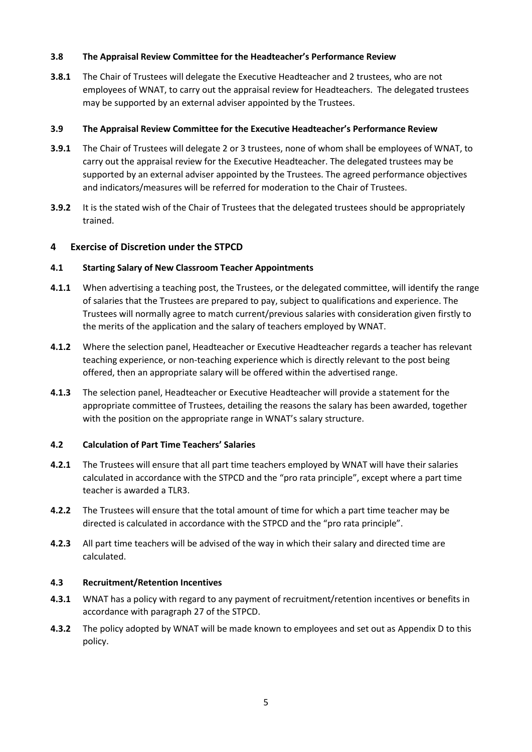#### **3.8 The Appraisal Review Committee for the Headteacher's Performance Review**

**3.8.1** The Chair of Trustees will delegate the Executive Headteacher and 2 trustees, who are not employees of WNAT, to carry out the appraisal review for Headteachers. The delegated trustees may be supported by an external adviser appointed by the Trustees.

#### **3.9 The Appraisal Review Committee for the Executive Headteacher's Performance Review**

- **3.9.1** The Chair of Trustees will delegate 2 or 3 trustees, none of whom shall be employees of WNAT, to carry out the appraisal review for the Executive Headteacher. The delegated trustees may be supported by an external adviser appointed by the Trustees. The agreed performance objectives and indicators/measures will be referred for moderation to the Chair of Trustees.
- **3.9.2** It is the stated wish of the Chair of Trustees that the delegated trustees should be appropriately trained.

#### **4 Exercise of Discretion under the STPCD**

#### **4.1 Starting Salary of New Classroom Teacher Appointments**

- **4.1.1** When advertising a teaching post, the Trustees, or the delegated committee, will identify the range of salaries that the Trustees are prepared to pay, subject to qualifications and experience. The Trustees will normally agree to match current/previous salaries with consideration given firstly to the merits of the application and the salary of teachers employed by WNAT.
- **4.1.2** Where the selection panel, Headteacher or Executive Headteacher regards a teacher has relevant teaching experience, or non-teaching experience which is directly relevant to the post being offered, then an appropriate salary will be offered within the advertised range.
- **4.1.3** The selection panel, Headteacher or Executive Headteacher will provide a statement for the appropriate committee of Trustees, detailing the reasons the salary has been awarded, together with the position on the appropriate range in WNAT's salary structure.

#### **4.2 Calculation of Part Time Teachers' Salaries**

- **4.2.1** The Trustees will ensure that all part time teachers employed by WNAT will have their salaries calculated in accordance with the STPCD and the "pro rata principle", except where a part time teacher is awarded a TLR3.
- **4.2.2** The Trustees will ensure that the total amount of time for which a part time teacher may be directed is calculated in accordance with the STPCD and the "pro rata principle".
- **4.2.3** All part time teachers will be advised of the way in which their salary and directed time are calculated.

#### **4.3 Recruitment/Retention Incentives**

- **4.3.1** WNAT has a policy with regard to any payment of recruitment/retention incentives or benefits in accordance with paragraph 27 of the STPCD.
- **4.3.2** The policy adopted by WNAT will be made known to employees and set out as Appendix D to this policy.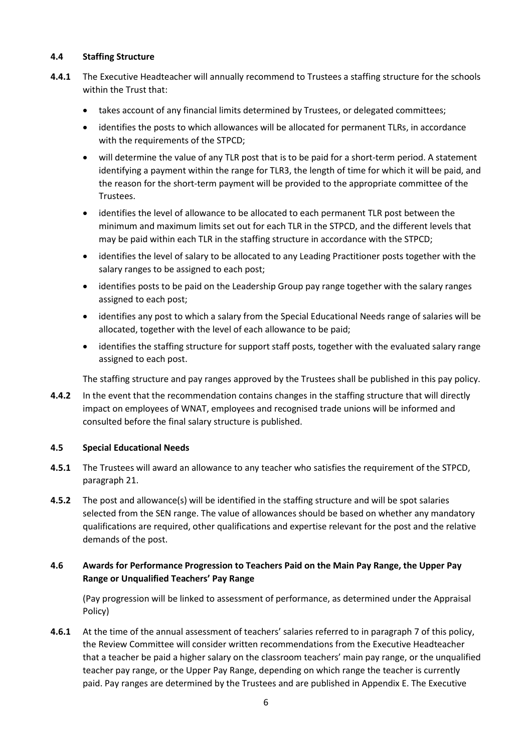#### **4.4 Staffing Structure**

- **4.4.1** The Executive Headteacher will annually recommend to Trustees a staffing structure for the schools within the Trust that:
	- takes account of any financial limits determined by Trustees, or delegated committees;
	- identifies the posts to which allowances will be allocated for permanent TLRs, in accordance with the requirements of the STPCD;
	- will determine the value of any TLR post that is to be paid for a short-term period. A statement identifying a payment within the range for TLR3, the length of time for which it will be paid, and the reason for the short-term payment will be provided to the appropriate committee of the Trustees.
	- identifies the level of allowance to be allocated to each permanent TLR post between the minimum and maximum limits set out for each TLR in the STPCD, and the different levels that may be paid within each TLR in the staffing structure in accordance with the STPCD;
	- identifies the level of salary to be allocated to any Leading Practitioner posts together with the salary ranges to be assigned to each post;
	- identifies posts to be paid on the Leadership Group pay range together with the salary ranges assigned to each post;
	- identifies any post to which a salary from the Special Educational Needs range of salaries will be allocated, together with the level of each allowance to be paid;
	- identifies the staffing structure for support staff posts, together with the evaluated salary range assigned to each post.

The staffing structure and pay ranges approved by the Trustees shall be published in this pay policy.

**4.4.2** In the event that the recommendation contains changes in the staffing structure that will directly impact on employees of WNAT, employees and recognised trade unions will be informed and consulted before the final salary structure is published.

#### **4.5 Special Educational Needs**

- **4.5.1** The Trustees will award an allowance to any teacher who satisfies the requirement of the STPCD, paragraph 21.
- **4.5.2** The post and allowance(s) will be identified in the staffing structure and will be spot salaries selected from the SEN range. The value of allowances should be based on whether any mandatory qualifications are required, other qualifications and expertise relevant for the post and the relative demands of the post.

## **4.6 Awards for Performance Progression to Teachers Paid on the Main Pay Range, the Upper Pay Range or Unqualified Teachers' Pay Range**

(Pay progression will be linked to assessment of performance, as determined under the Appraisal Policy)

**4.6.1** At the time of the annual assessment of teachers' salaries referred to in paragraph 7 of this policy, the Review Committee will consider written recommendations from the Executive Headteacher that a teacher be paid a higher salary on the classroom teachers' main pay range, or the unqualified teacher pay range, or the Upper Pay Range, depending on which range the teacher is currently paid. Pay ranges are determined by the Trustees and are published in Appendix E. The Executive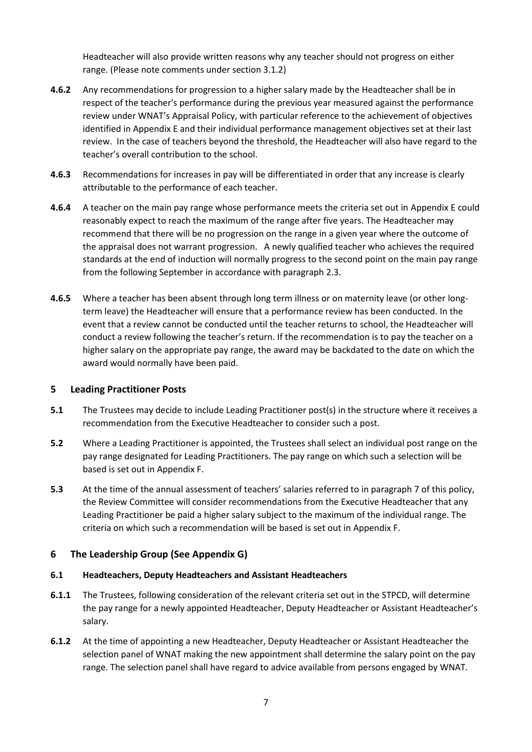Headteacher will also provide written reasons why any teacher should not progress on either range. (Please note comments under section 3.1.2)

- **4.6.2** Any recommendations for progression to a higher salary made by the Headteacher shall be in respect of the teacher's performance during the previous year measured against the performance review under WNAT's Appraisal Policy, with particular reference to the achievement of objectives identified in Appendix E and their individual performance management objectives set at their last review. In the case of teachers beyond the threshold, the Headteacher will also have regard to the teacher's overall contribution to the school.
- **4.6.3** Recommendations for increases in pay will be differentiated in order that any increase is clearly attributable to the performance of each teacher.
- **4.6.4** A teacher on the main pay range whose performance meets the criteria set out in Appendix E could reasonably expect to reach the maximum of the range after five years. The Headteacher may recommend that there will be no progression on the range in a given year where the outcome of the appraisal does not warrant progression. A newly qualified teacher who achieves the required standards at the end of induction will normally progress to the second point on the main pay range from the following September in accordance with paragraph 2.3.
- **4.6.5** Where a teacher has been absent through long term illness or on maternity leave (or other longterm leave) the Headteacher will ensure that a performance review has been conducted. In the event that a review cannot be conducted until the teacher returns to school, the Headteacher will conduct a review following the teacher's return. If the recommendation is to pay the teacher on a higher salary on the appropriate pay range, the award may be backdated to the date on which the award would normally have been paid.

#### **5 Leading Practitioner Posts**

- **5.1** The Trustees may decide to include Leading Practitioner post(s) in the structure where it receives a recommendation from the Executive Headteacher to consider such a post.
- **5.2** Where a Leading Practitioner is appointed, the Trustees shall select an individual post range on the pay range designated for Leading Practitioners. The pay range on which such a selection will be based is set out in Appendix F.
- **5.3** At the time of the annual assessment of teachers' salaries referred to in paragraph 7 of this policy, the Review Committee will consider recommendations from the Executive Headteacher that any Leading Practitioner be paid a higher salary subject to the maximum of the individual range. The criteria on which such a recommendation will be based is set out in Appendix F.

## **6 The Leadership Group (See Appendix G)**

#### **6.1 Headteachers, Deputy Headteachers and Assistant Headteachers**

- **6.1.1** The Trustees, following consideration of the relevant criteria set out in the STPCD, will determine the pay range for a newly appointed Headteacher, Deputy Headteacher or Assistant Headteacher's salary.
- **6.1.2** At the time of appointing a new Headteacher, Deputy Headteacher or Assistant Headteacher the selection panel of WNAT making the new appointment shall determine the salary point on the pay range. The selection panel shall have regard to advice available from persons engaged by WNAT.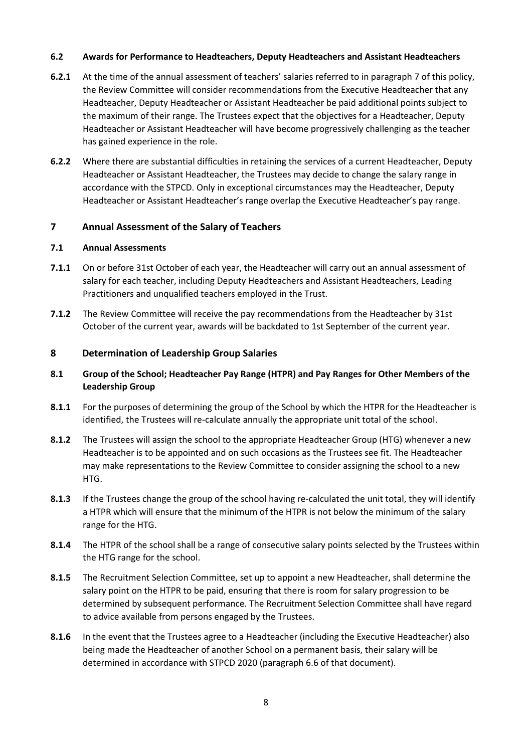#### **6.2 Awards for Performance to Headteachers, Deputy Headteachers and Assistant Headteachers**

- **6.2.1** At the time of the annual assessment of teachers' salaries referred to in paragraph 7 of this policy, the Review Committee will consider recommendations from the Executive Headteacher that any Headteacher, Deputy Headteacher or Assistant Headteacher be paid additional points subject to the maximum of their range. The Trustees expect that the objectives for a Headteacher, Deputy Headteacher or Assistant Headteacher will have become progressively challenging as the teacher has gained experience in the role.
- **6.2.2** Where there are substantial difficulties in retaining the services of a current Headteacher, Deputy Headteacher or Assistant Headteacher, the Trustees may decide to change the salary range in accordance with the STPCD. Only in exceptional circumstances may the Headteacher, Deputy Headteacher or Assistant Headteacher's range overlap the Executive Headteacher's pay range.

## **7 Annual Assessment of the Salary of Teachers**

#### **7.1 Annual Assessments**

- **7.1.1** On or before 31st October of each year, the Headteacher will carry out an annual assessment of salary for each teacher, including Deputy Headteachers and Assistant Headteachers, Leading Practitioners and unqualified teachers employed in the Trust.
- **7.1.2** The Review Committee will receive the pay recommendations from the Headteacher by 31st October of the current year, awards will be backdated to 1st September of the current year.

#### **8 Determination of Leadership Group Salaries**

## **8.1 Group of the School; Headteacher Pay Range (HTPR) and Pay Ranges for Other Members of the Leadership Group**

- **8.1.1** For the purposes of determining the group of the School by which the HTPR for the Headteacher is identified, the Trustees will re-calculate annually the appropriate unit total of the school.
- **8.1.2** The Trustees will assign the school to the appropriate Headteacher Group (HTG) whenever a new Headteacher is to be appointed and on such occasions as the Trustees see fit. The Headteacher may make representations to the Review Committee to consider assigning the school to a new HTG.
- **8.1.3** If the Trustees change the group of the school having re-calculated the unit total, they will identify a HTPR which will ensure that the minimum of the HTPR is not below the minimum of the salary range for the HTG.
- **8.1.4** The HTPR of the school shall be a range of consecutive salary points selected by the Trustees within the HTG range for the school.
- **8.1.5** The Recruitment Selection Committee, set up to appoint a new Headteacher, shall determine the salary point on the HTPR to be paid, ensuring that there is room for salary progression to be determined by subsequent performance. The Recruitment Selection Committee shall have regard to advice available from persons engaged by the Trustees.
- **8.1.6** In the event that the Trustees agree to a Headteacher (including the Executive Headteacher) also being made the Headteacher of another School on a permanent basis, their salary will be determined in accordance with STPCD 2020 (paragraph 6.6 of that document).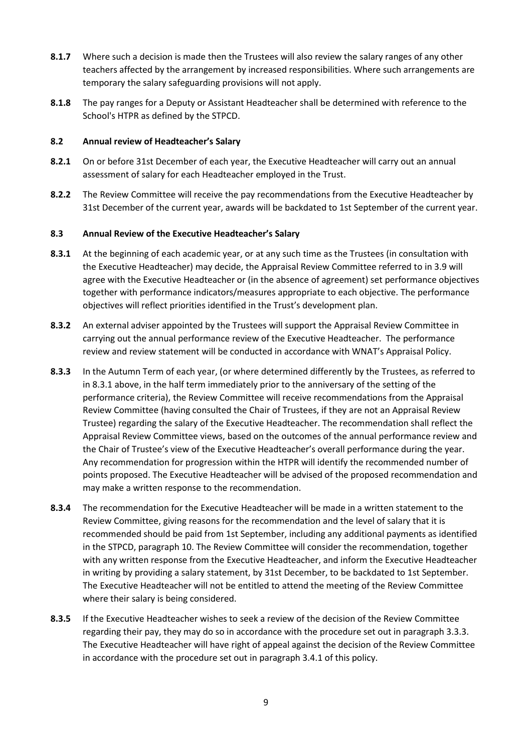- **8.1.7** Where such a decision is made then the Trustees will also review the salary ranges of any other teachers affected by the arrangement by increased responsibilities. Where such arrangements are temporary the salary safeguarding provisions will not apply.
- **8.1.8** The pay ranges for a Deputy or Assistant Headteacher shall be determined with reference to the School's HTPR as defined by the STPCD.

#### **8.2 Annual review of Headteacher's Salary**

- **8.2.1** On or before 31st December of each year, the Executive Headteacher will carry out an annual assessment of salary for each Headteacher employed in the Trust.
- **8.2.2** The Review Committee will receive the pay recommendations from the Executive Headteacher by 31st December of the current year, awards will be backdated to 1st September of the current year.

#### **8.3 Annual Review of the Executive Headteacher's Salary**

- **8.3.1** At the beginning of each academic year, or at any such time as the Trustees (in consultation with the Executive Headteacher) may decide, the Appraisal Review Committee referred to in 3.9 will agree with the Executive Headteacher or (in the absence of agreement) set performance objectives together with performance indicators/measures appropriate to each objective. The performance objectives will reflect priorities identified in the Trust's development plan.
- **8.3.2** An external adviser appointed by the Trustees will support the Appraisal Review Committee in carrying out the annual performance review of the Executive Headteacher. The performance review and review statement will be conducted in accordance with WNAT's Appraisal Policy.
- **8.3.3** In the Autumn Term of each year, (or where determined differently by the Trustees, as referred to in 8.3.1 above, in the half term immediately prior to the anniversary of the setting of the performance criteria), the Review Committee will receive recommendations from the Appraisal Review Committee (having consulted the Chair of Trustees, if they are not an Appraisal Review Trustee) regarding the salary of the Executive Headteacher. The recommendation shall reflect the Appraisal Review Committee views, based on the outcomes of the annual performance review and the Chair of Trustee's view of the Executive Headteacher's overall performance during the year. Any recommendation for progression within the HTPR will identify the recommended number of points proposed. The Executive Headteacher will be advised of the proposed recommendation and may make a written response to the recommendation.
- **8.3.4** The recommendation for the Executive Headteacher will be made in a written statement to the Review Committee, giving reasons for the recommendation and the level of salary that it is recommended should be paid from 1st September, including any additional payments as identified in the STPCD, paragraph 10. The Review Committee will consider the recommendation, together with any written response from the Executive Headteacher, and inform the Executive Headteacher in writing by providing a salary statement, by 31st December, to be backdated to 1st September. The Executive Headteacher will not be entitled to attend the meeting of the Review Committee where their salary is being considered.
- **8.3.5** If the Executive Headteacher wishes to seek a review of the decision of the Review Committee regarding their pay, they may do so in accordance with the procedure set out in paragraph 3.3.3. The Executive Headteacher will have right of appeal against the decision of the Review Committee in accordance with the procedure set out in paragraph 3.4.1 of this policy.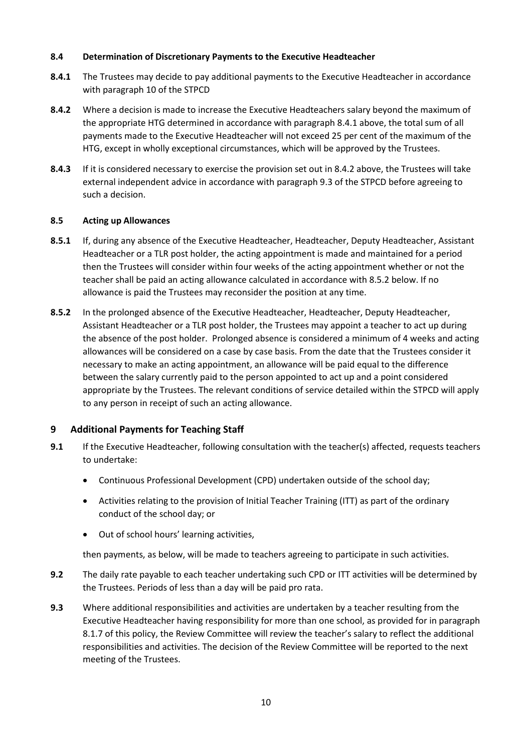#### **8.4 Determination of Discretionary Payments to the Executive Headteacher**

- **8.4.1** The Trustees may decide to pay additional payments to the Executive Headteacher in accordance with paragraph 10 of the STPCD
- **8.4.2** Where a decision is made to increase the Executive Headteachers salary beyond the maximum of the appropriate HTG determined in accordance with paragraph 8.4.1 above, the total sum of all payments made to the Executive Headteacher will not exceed 25 per cent of the maximum of the HTG, except in wholly exceptional circumstances, which will be approved by the Trustees.
- **8.4.3** If it is considered necessary to exercise the provision set out in 8.4.2 above, the Trustees will take external independent advice in accordance with paragraph 9.3 of the STPCD before agreeing to such a decision.

#### **8.5 Acting up Allowances**

- **8.5.1** If, during any absence of the Executive Headteacher, Headteacher, Deputy Headteacher, Assistant Headteacher or a TLR post holder, the acting appointment is made and maintained for a period then the Trustees will consider within four weeks of the acting appointment whether or not the teacher shall be paid an acting allowance calculated in accordance with 8.5.2 below. If no allowance is paid the Trustees may reconsider the position at any time.
- **8.5.2** In the prolonged absence of the Executive Headteacher, Headteacher, Deputy Headteacher, Assistant Headteacher or a TLR post holder, the Trustees may appoint a teacher to act up during the absence of the post holder. Prolonged absence is considered a minimum of 4 weeks and acting allowances will be considered on a case by case basis. From the date that the Trustees consider it necessary to make an acting appointment, an allowance will be paid equal to the difference between the salary currently paid to the person appointed to act up and a point considered appropriate by the Trustees. The relevant conditions of service detailed within the STPCD will apply to any person in receipt of such an acting allowance.

## **9 Additional Payments for Teaching Staff**

- **9.1** If the Executive Headteacher, following consultation with the teacher(s) affected, requests teachers to undertake:
	- Continuous Professional Development (CPD) undertaken outside of the school day;
	- Activities relating to the provision of Initial Teacher Training (ITT) as part of the ordinary conduct of the school day; or
	- Out of school hours' learning activities,

then payments, as below, will be made to teachers agreeing to participate in such activities.

- **9.2** The daily rate payable to each teacher undertaking such CPD or ITT activities will be determined by the Trustees. Periods of less than a day will be paid pro rata.
- **9.3** Where additional responsibilities and activities are undertaken by a teacher resulting from the Executive Headteacher having responsibility for more than one school, as provided for in paragraph 8.1.7 of this policy, the Review Committee will review the teacher's salary to reflect the additional responsibilities and activities. The decision of the Review Committee will be reported to the next meeting of the Trustees.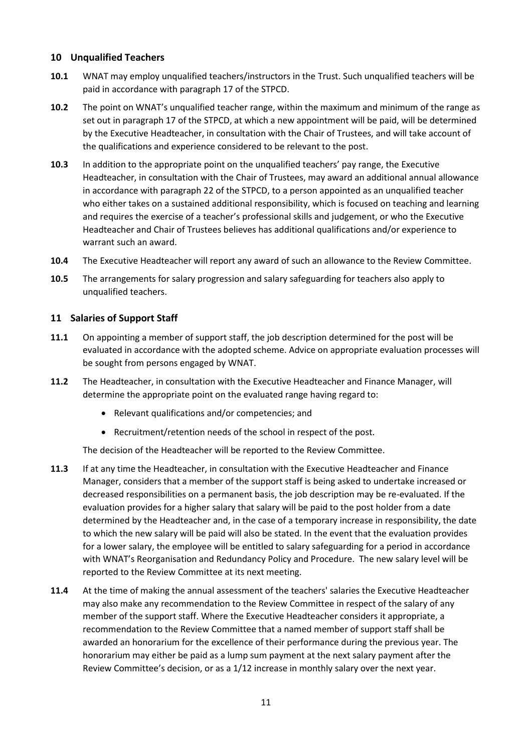## **10 Unqualified Teachers**

- **10.1** WNAT may employ unqualified teachers/instructors in the Trust. Such unqualified teachers will be paid in accordance with paragraph 17 of the STPCD.
- **10.2** The point on WNAT's unqualified teacher range, within the maximum and minimum of the range as set out in paragraph 17 of the STPCD, at which a new appointment will be paid, will be determined by the Executive Headteacher, in consultation with the Chair of Trustees, and will take account of the qualifications and experience considered to be relevant to the post.
- **10.3** In addition to the appropriate point on the unqualified teachers' pay range, the Executive Headteacher, in consultation with the Chair of Trustees, may award an additional annual allowance in accordance with paragraph 22 of the STPCD, to a person appointed as an unqualified teacher who either takes on a sustained additional responsibility, which is focused on teaching and learning and requires the exercise of a teacher's professional skills and judgement, or who the Executive Headteacher and Chair of Trustees believes has additional qualifications and/or experience to warrant such an award.
- **10.4** The Executive Headteacher will report any award of such an allowance to the Review Committee.
- **10.5** The arrangements for salary progression and salary safeguarding for teachers also apply to unqualified teachers.

## **11 Salaries of Support Staff**

- **11.1** On appointing a member of support staff, the job description determined for the post will be evaluated in accordance with the adopted scheme. Advice on appropriate evaluation processes will be sought from persons engaged by WNAT.
- **11.2** The Headteacher, in consultation with the Executive Headteacher and Finance Manager, will determine the appropriate point on the evaluated range having regard to:
	- Relevant qualifications and/or competencies; and
	- Recruitment/retention needs of the school in respect of the post.

The decision of the Headteacher will be reported to the Review Committee.

- **11.3** If at any time the Headteacher, in consultation with the Executive Headteacher and Finance Manager, considers that a member of the support staff is being asked to undertake increased or decreased responsibilities on a permanent basis, the job description may be re-evaluated. If the evaluation provides for a higher salary that salary will be paid to the post holder from a date determined by the Headteacher and, in the case of a temporary increase in responsibility, the date to which the new salary will be paid will also be stated. In the event that the evaluation provides for a lower salary, the employee will be entitled to salary safeguarding for a period in accordance with WNAT's Reorganisation and Redundancy Policy and Procedure. The new salary level will be reported to the Review Committee at its next meeting.
- **11.4** At the time of making the annual assessment of the teachers' salaries the Executive Headteacher may also make any recommendation to the Review Committee in respect of the salary of any member of the support staff. Where the Executive Headteacher considers it appropriate, a recommendation to the Review Committee that a named member of support staff shall be awarded an honorarium for the excellence of their performance during the previous year. The honorarium may either be paid as a lump sum payment at the next salary payment after the Review Committee's decision, or as a 1/12 increase in monthly salary over the next year.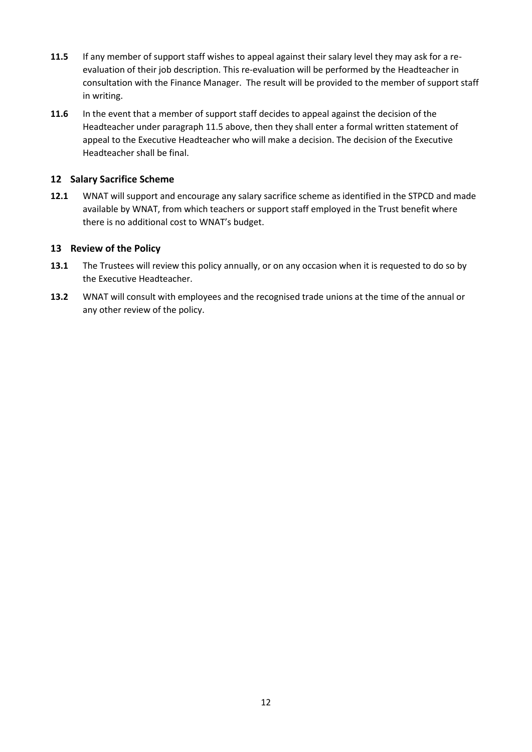- **11.5** If any member of support staff wishes to appeal against their salary level they may ask for a reevaluation of their job description. This re-evaluation will be performed by the Headteacher in consultation with the Finance Manager. The result will be provided to the member of support staff in writing.
- **11.6** In the event that a member of support staff decides to appeal against the decision of the Headteacher under paragraph 11.5 above, then they shall enter a formal written statement of appeal to the Executive Headteacher who will make a decision. The decision of the Executive Headteacher shall be final.

## **12 Salary Sacrifice Scheme**

**12.1** WNAT will support and encourage any salary sacrifice scheme as identified in the STPCD and made available by WNAT, from which teachers or support staff employed in the Trust benefit where there is no additional cost to WNAT's budget.

## **13 Review of the Policy**

- **13.1** The Trustees will review this policy annually, or on any occasion when it is requested to do so by the Executive Headteacher.
- **13.2** WNAT will consult with employees and the recognised trade unions at the time of the annual or any other review of the policy.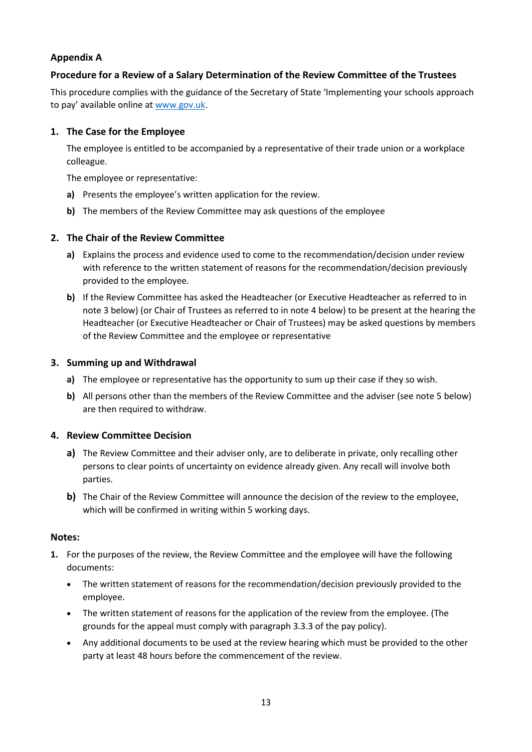## **Appendix A**

## **Procedure for a Review of a Salary Determination of the Review Committee of the Trustees**

This procedure complies with the guidance of the Secretary of State 'Implementing your schools approach to pay' available online at [www.gov.uk.](http://www.gov.uk/)

## **1. The Case for the Employee**

The employee is entitled to be accompanied by a representative of their trade union or a workplace colleague.

The employee or representative:

- **a)** Presents the employee's written application for the review.
- **b)** The members of the Review Committee may ask questions of the employee

## **2. The Chair of the Review Committee**

- **a)** Explains the process and evidence used to come to the recommendation/decision under review with reference to the written statement of reasons for the recommendation/decision previously provided to the employee.
- **b)** If the Review Committee has asked the Headteacher (or Executive Headteacher as referred to in note 3 below) (or Chair of Trustees as referred to in note 4 below) to be present at the hearing the Headteacher (or Executive Headteacher or Chair of Trustees) may be asked questions by members of the Review Committee and the employee or representative

## **3. Summing up and Withdrawal**

- **a)** The employee or representative has the opportunity to sum up their case if they so wish.
- **b)** All persons other than the members of the Review Committee and the adviser (see note 5 below) are then required to withdraw.

## **4. Review Committee Decision**

- **a)** The Review Committee and their adviser only, are to deliberate in private, only recalling other persons to clear points of uncertainty on evidence already given. Any recall will involve both parties.
- **b)** The Chair of the Review Committee will announce the decision of the review to the employee, which will be confirmed in writing within 5 working days.

#### **Notes:**

- **1.** For the purposes of the review, the Review Committee and the employee will have the following documents:
	- The written statement of reasons for the recommendation/decision previously provided to the employee.
	- The written statement of reasons for the application of the review from the employee. (The grounds for the appeal must comply with paragraph 3.3.3 of the pay policy).
	- Any additional documents to be used at the review hearing which must be provided to the other party at least 48 hours before the commencement of the review.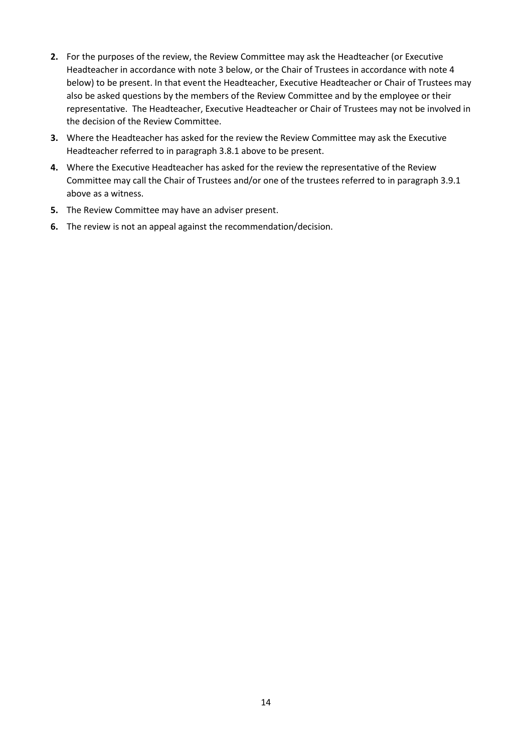- **2.** For the purposes of the review, the Review Committee may ask the Headteacher (or Executive Headteacher in accordance with note 3 below, or the Chair of Trustees in accordance with note 4 below) to be present. In that event the Headteacher, Executive Headteacher or Chair of Trustees may also be asked questions by the members of the Review Committee and by the employee or their representative. The Headteacher, Executive Headteacher or Chair of Trustees may not be involved in the decision of the Review Committee.
- **3.** Where the Headteacher has asked for the review the Review Committee may ask the Executive Headteacher referred to in paragraph 3.8.1 above to be present.
- **4.** Where the Executive Headteacher has asked for the review the representative of the Review Committee may call the Chair of Trustees and/or one of the trustees referred to in paragraph 3.9.1 above as a witness.
- **5.** The Review Committee may have an adviser present.
- **6.** The review is not an appeal against the recommendation/decision.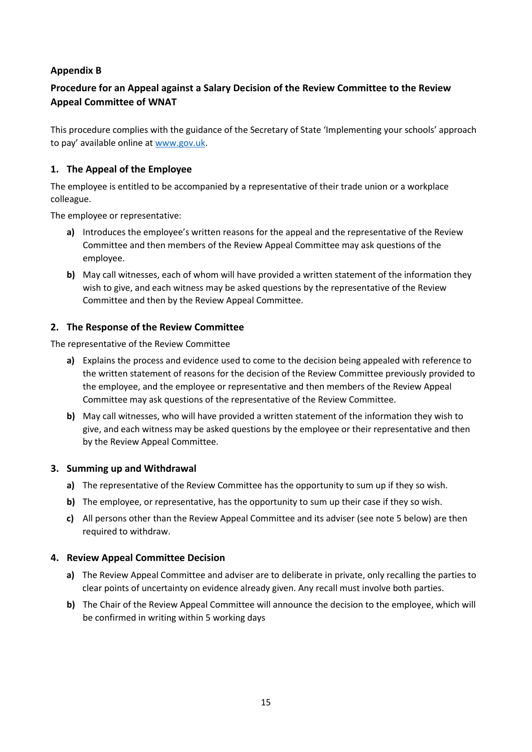## **Appendix B**

# **Procedure for an Appeal against a Salary Decision of the Review Committee to the Review Appeal Committee of WNAT**

This procedure complies with the guidance of the Secretary of State 'Implementing your schools' approach to pay' available online at [www.gov.uk.](http://www.gov.uk/)

## **1. The Appeal of the Employee**

The employee is entitled to be accompanied by a representative of their trade union or a workplace colleague.

The employee or representative:

- **a)** Introduces the employee's written reasons for the appeal and the representative of the Review Committee and then members of the Review Appeal Committee may ask questions of the employee.
- **b)** May call witnesses, each of whom will have provided a written statement of the information they wish to give, and each witness may be asked questions by the representative of the Review Committee and then by the Review Appeal Committee.

## **2. The Response of the Review Committee**

The representative of the Review Committee

- **a)** Explains the process and evidence used to come to the decision being appealed with reference to the written statement of reasons for the decision of the Review Committee previously provided to the employee, and the employee or representative and then members of the Review Appeal Committee may ask questions of the representative of the Review Committee.
- **b)** May call witnesses, who will have provided a written statement of the information they wish to give, and each witness may be asked questions by the employee or their representative and then by the Review Appeal Committee.

## **3. Summing up and Withdrawal**

- **a)** The representative of the Review Committee has the opportunity to sum up if they so wish.
- **b)** The employee, or representative, has the opportunity to sum up their case if they so wish.
- **c)** All persons other than the Review Appeal Committee and its adviser (see note 5 below) are then required to withdraw.

## **4. Review Appeal Committee Decision**

- **a)** The Review Appeal Committee and adviser are to deliberate in private, only recalling the parties to clear points of uncertainty on evidence already given. Any recall must involve both parties.
- **b)** The Chair of the Review Appeal Committee will announce the decision to the employee, which will be confirmed in writing within 5 working days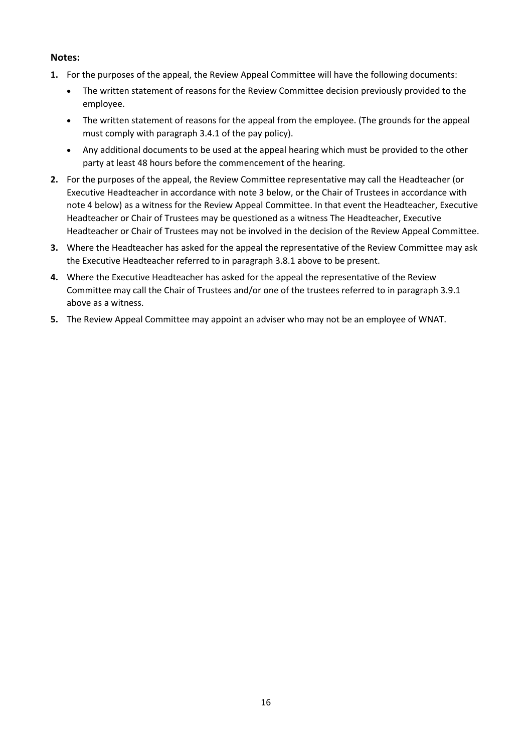#### **Notes:**

- **1.** For the purposes of the appeal, the Review Appeal Committee will have the following documents:
	- The written statement of reasons for the Review Committee decision previously provided to the employee.
	- The written statement of reasons for the appeal from the employee. (The grounds for the appeal must comply with paragraph 3.4.1 of the pay policy).
	- Any additional documents to be used at the appeal hearing which must be provided to the other party at least 48 hours before the commencement of the hearing.
- **2.** For the purposes of the appeal, the Review Committee representative may call the Headteacher (or Executive Headteacher in accordance with note 3 below, or the Chair of Trustees in accordance with note 4 below) as a witness for the Review Appeal Committee. In that event the Headteacher, Executive Headteacher or Chair of Trustees may be questioned as a witness The Headteacher, Executive Headteacher or Chair of Trustees may not be involved in the decision of the Review Appeal Committee.
- **3.** Where the Headteacher has asked for the appeal the representative of the Review Committee may ask the Executive Headteacher referred to in paragraph 3.8.1 above to be present.
- **4.** Where the Executive Headteacher has asked for the appeal the representative of the Review Committee may call the Chair of Trustees and/or one of the trustees referred to in paragraph 3.9.1 above as a witness.
- **5.** The Review Appeal Committee may appoint an adviser who may not be an employee of WNAT.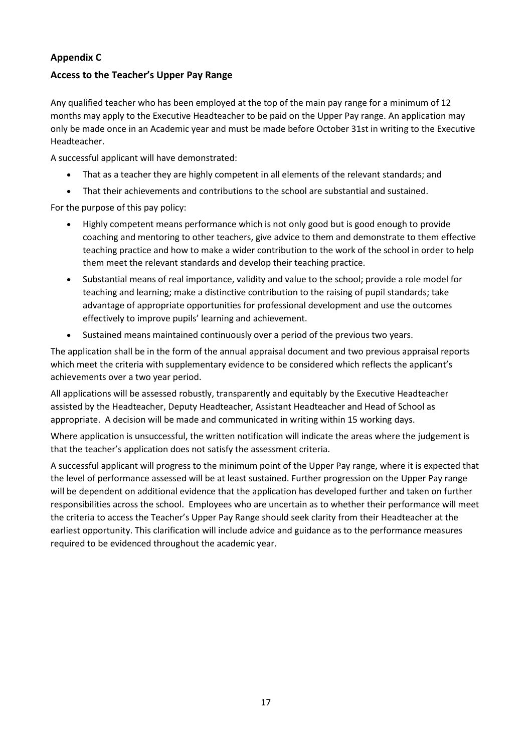## **Appendix C**

## **Access to the Teacher's Upper Pay Range**

Any qualified teacher who has been employed at the top of the main pay range for a minimum of 12 months may apply to the Executive Headteacher to be paid on the Upper Pay range. An application may only be made once in an Academic year and must be made before October 31st in writing to the Executive Headteacher.

A successful applicant will have demonstrated:

- That as a teacher they are highly competent in all elements of the relevant standards; and
- That their achievements and contributions to the school are substantial and sustained.

For the purpose of this pay policy:

- Highly competent means performance which is not only good but is good enough to provide coaching and mentoring to other teachers, give advice to them and demonstrate to them effective teaching practice and how to make a wider contribution to the work of the school in order to help them meet the relevant standards and develop their teaching practice.
- Substantial means of real importance, validity and value to the school; provide a role model for teaching and learning; make a distinctive contribution to the raising of pupil standards; take advantage of appropriate opportunities for professional development and use the outcomes effectively to improve pupils' learning and achievement.
- Sustained means maintained continuously over a period of the previous two years.

The application shall be in the form of the annual appraisal document and two previous appraisal reports which meet the criteria with supplementary evidence to be considered which reflects the applicant's achievements over a two year period.

All applications will be assessed robustly, transparently and equitably by the Executive Headteacher assisted by the Headteacher, Deputy Headteacher, Assistant Headteacher and Head of School as appropriate. A decision will be made and communicated in writing within 15 working days.

Where application is unsuccessful, the written notification will indicate the areas where the judgement is that the teacher's application does not satisfy the assessment criteria.

A successful applicant will progress to the minimum point of the Upper Pay range, where it is expected that the level of performance assessed will be at least sustained. Further progression on the Upper Pay range will be dependent on additional evidence that the application has developed further and taken on further responsibilities across the school. Employees who are uncertain as to whether their performance will meet the criteria to access the Teacher's Upper Pay Range should seek clarity from their Headteacher at the earliest opportunity. This clarification will include advice and guidance as to the performance measures required to be evidenced throughout the academic year.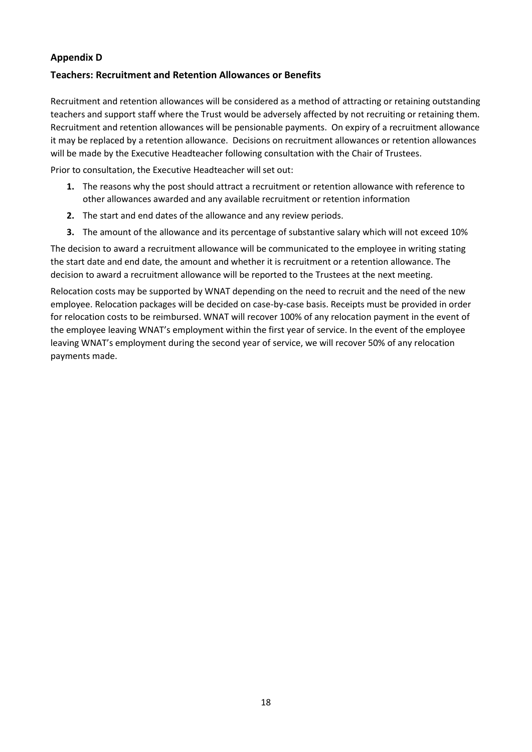## **Appendix D**

## **Teachers: Recruitment and Retention Allowances or Benefits**

Recruitment and retention allowances will be considered as a method of attracting or retaining outstanding teachers and support staff where the Trust would be adversely affected by not recruiting or retaining them. Recruitment and retention allowances will be pensionable payments. On expiry of a recruitment allowance it may be replaced by a retention allowance. Decisions on recruitment allowances or retention allowances will be made by the Executive Headteacher following consultation with the Chair of Trustees.

Prior to consultation, the Executive Headteacher will set out:

- **1.** The reasons why the post should attract a recruitment or retention allowance with reference to other allowances awarded and any available recruitment or retention information
- **2.** The start and end dates of the allowance and any review periods.
- **3.** The amount of the allowance and its percentage of substantive salary which will not exceed 10%

The decision to award a recruitment allowance will be communicated to the employee in writing stating the start date and end date, the amount and whether it is recruitment or a retention allowance. The decision to award a recruitment allowance will be reported to the Trustees at the next meeting.

Relocation costs may be supported by WNAT depending on the need to recruit and the need of the new employee. Relocation packages will be decided on case-by-case basis. Receipts must be provided in order for relocation costs to be reimbursed. WNAT will recover 100% of any relocation payment in the event of the employee leaving WNAT's employment within the first year of service. In the event of the employee leaving WNAT's employment during the second year of service, we will recover 50% of any relocation payments made.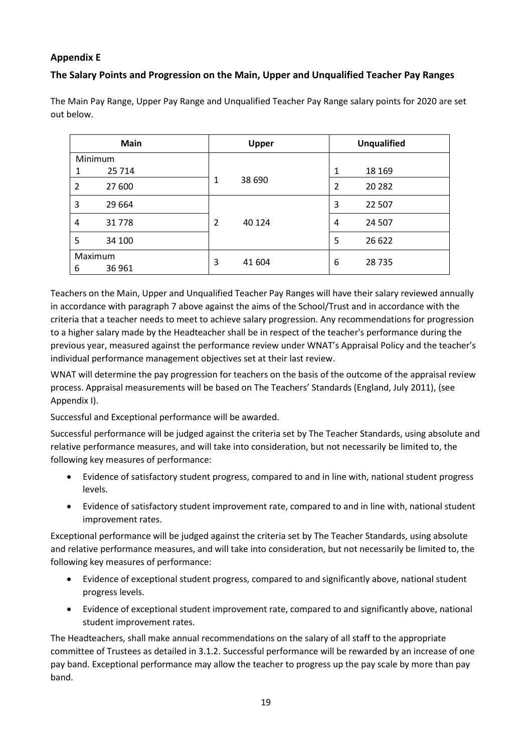# **Appendix E**

## **The Salary Points and Progression on the Main, Upper and Unqualified Teacher Pay Ranges**

The Main Pay Range, Upper Pay Range and Unqualified Teacher Pay Range salary points for 2020 are set out below.

|         | Main     |                | Upper       |         | <b>Unqualified</b> |
|---------|----------|----------------|-------------|---------|--------------------|
| Minimum |          |                |             |         |                    |
| 1       | 25 7 14  |                | 1           | 18 16 9 |                    |
| 2       | 27 600   |                | 38 690<br>1 | 2       | 20 28 2            |
| 3       | 29 6 64  |                |             | 3       | 22 507             |
| 4       | 31 7 7 8 | $\overline{2}$ | 40 124      | 4       | 24 507             |
| 5       | 34 100   |                |             | 5       | 26 622             |
| Maximum |          | 3              | 41 604      | 6       | 28 7 35            |
| 6       | 36 961   |                |             |         |                    |

Teachers on the Main, Upper and Unqualified Teacher Pay Ranges will have their salary reviewed annually in accordance with paragraph 7 above against the aims of the School/Trust and in accordance with the criteria that a teacher needs to meet to achieve salary progression. Any recommendations for progression to a higher salary made by the Headteacher shall be in respect of the teacher's performance during the previous year, measured against the performance review under WNAT's Appraisal Policy and the teacher's individual performance management objectives set at their last review.

WNAT will determine the pay progression for teachers on the basis of the outcome of the appraisal review process. Appraisal measurements will be based on The Teachers' Standards (England, July 2011), (see Appendix I).

Successful and Exceptional performance will be awarded.

Successful performance will be judged against the criteria set by The Teacher Standards, using absolute and relative performance measures, and will take into consideration, but not necessarily be limited to, the following key measures of performance:

- Evidence of satisfactory student progress, compared to and in line with, national student progress levels.
- Evidence of satisfactory student improvement rate, compared to and in line with, national student improvement rates.

Exceptional performance will be judged against the criteria set by The Teacher Standards, using absolute and relative performance measures, and will take into consideration, but not necessarily be limited to, the following key measures of performance:

- Evidence of exceptional student progress, compared to and significantly above, national student progress levels.
- Evidence of exceptional student improvement rate, compared to and significantly above, national student improvement rates.

The Headteachers, shall make annual recommendations on the salary of all staff to the appropriate committee of Trustees as detailed in 3.1.2. Successful performance will be rewarded by an increase of one pay band. Exceptional performance may allow the teacher to progress up the pay scale by more than pay band.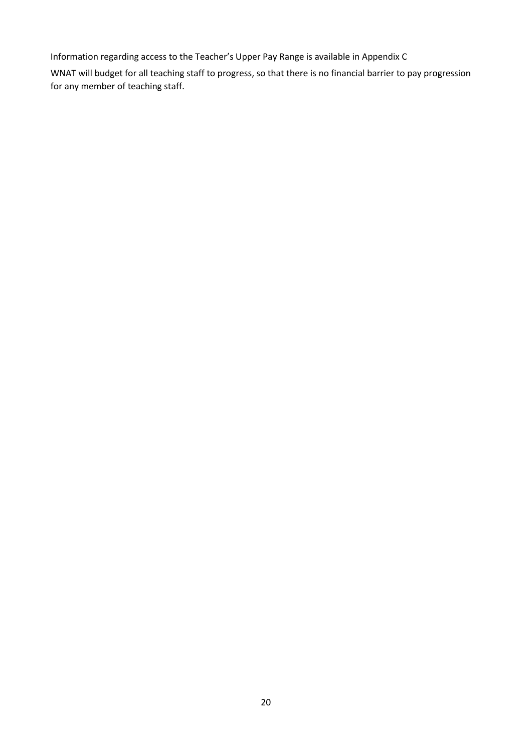Information regarding access to the Teacher's Upper Pay Range is available in Appendix C

WNAT will budget for all teaching staff to progress, so that there is no financial barrier to pay progression for any member of teaching staff.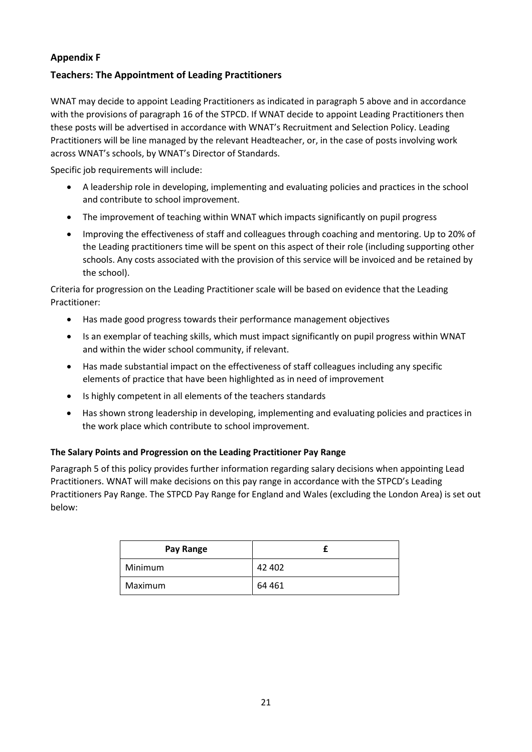## **Appendix F**

# **Teachers: The Appointment of Leading Practitioners**

WNAT may decide to appoint Leading Practitioners as indicated in paragraph 5 above and in accordance with the provisions of paragraph 16 of the STPCD. If WNAT decide to appoint Leading Practitioners then these posts will be advertised in accordance with WNAT's Recruitment and Selection Policy. Leading Practitioners will be line managed by the relevant Headteacher, or, in the case of posts involving work across WNAT's schools, by WNAT's Director of Standards.

Specific job requirements will include:

- A leadership role in developing, implementing and evaluating policies and practices in the school and contribute to school improvement.
- The improvement of teaching within WNAT which impacts significantly on pupil progress
- Improving the effectiveness of staff and colleagues through coaching and mentoring. Up to 20% of the Leading practitioners time will be spent on this aspect of their role (including supporting other schools. Any costs associated with the provision of this service will be invoiced and be retained by the school).

Criteria for progression on the Leading Practitioner scale will be based on evidence that the Leading Practitioner:

- Has made good progress towards their performance management objectives
- Is an exemplar of teaching skills, which must impact significantly on pupil progress within WNAT and within the wider school community, if relevant.
- Has made substantial impact on the effectiveness of staff colleagues including any specific elements of practice that have been highlighted as in need of improvement
- Is highly competent in all elements of the teachers standards
- Has shown strong leadership in developing, implementing and evaluating policies and practices in the work place which contribute to school improvement.

## **The Salary Points and Progression on the Leading Practitioner Pay Range**

Paragraph 5 of this policy provides further information regarding salary decisions when appointing Lead Practitioners. WNAT will make decisions on this pay range in accordance with the STPCD's Leading Practitioners Pay Range. The STPCD Pay Range for England and Wales (excluding the London Area) is set out below:

| Pay Range |        |
|-----------|--------|
| Minimum   | 42 402 |
| Maximum   | 64 461 |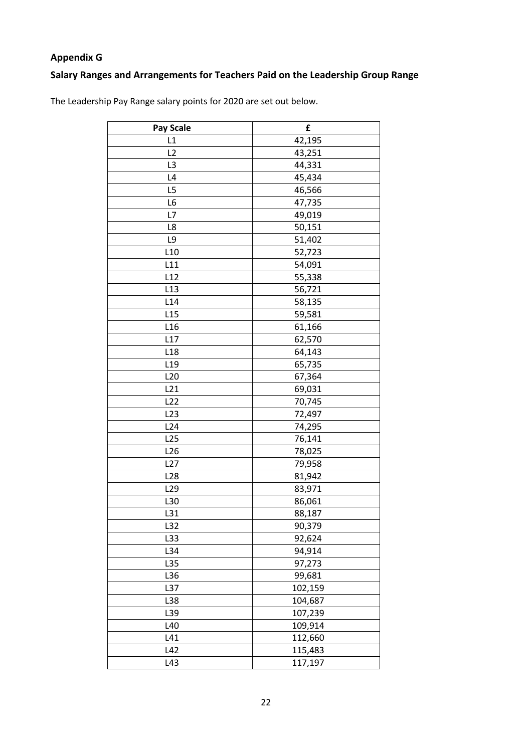# **Appendix G**

# **Salary Ranges and Arrangements for Teachers Paid on the Leadership Group Range**

The Leadership Pay Range salary points for 2020 are set out below.

| <b>Pay Scale</b> | £       |
|------------------|---------|
| L1               | 42,195  |
| L2               | 43,251  |
| L <sub>3</sub>   | 44,331  |
| L4               | 45,434  |
| L5               | 46,566  |
| L6               | 47,735  |
| L7               | 49,019  |
| L8               | 50,151  |
| L9               | 51,402  |
| L10              | 52,723  |
| L11              | 54,091  |
| L12              | 55,338  |
| L13              | 56,721  |
| L14              | 58,135  |
| L15              | 59,581  |
| L <sub>16</sub>  | 61,166  |
| L17              | 62,570  |
| L <sub>18</sub>  | 64,143  |
| L <sub>19</sub>  | 65,735  |
| L20              | 67,364  |
| L21              | 69,031  |
| L22              | 70,745  |
| L23              | 72,497  |
| L24              | 74,295  |
| L25              | 76,141  |
| L26              | 78,025  |
| L27              | 79,958  |
| L <sub>28</sub>  | 81,942  |
| L <sub>29</sub>  | 83,971  |
| L30              | 86,061  |
| L31              | 88,187  |
| L32              | 90,379  |
| L33              | 92,624  |
| L34              | 94,914  |
| L35              | 97,273  |
| L36              | 99,681  |
| L37              | 102,159 |
| L38              | 104,687 |
| L39              | 107,239 |
| L40              | 109,914 |
| L41              | 112,660 |
| L42              | 115,483 |
| L43              | 117,197 |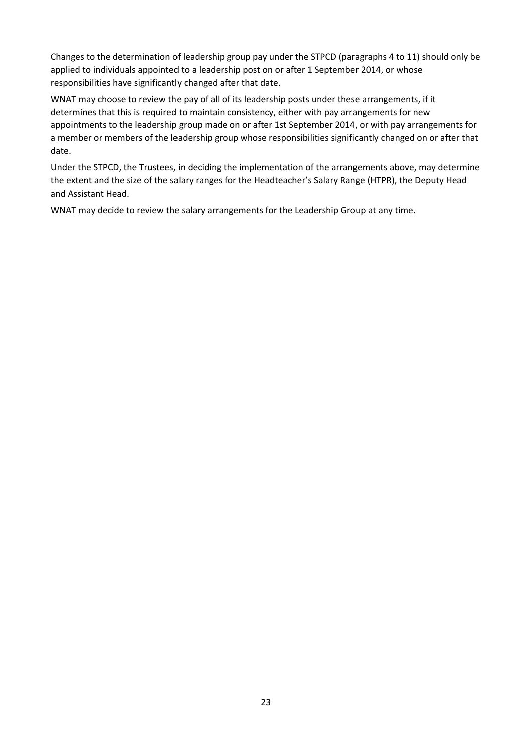Changes to the determination of leadership group pay under the STPCD (paragraphs 4 to 11) should only be applied to individuals appointed to a leadership post on or after 1 September 2014, or whose responsibilities have significantly changed after that date.

WNAT may choose to review the pay of all of its leadership posts under these arrangements, if it determines that this is required to maintain consistency, either with pay arrangements for new appointments to the leadership group made on or after 1st September 2014, or with pay arrangements for a member or members of the leadership group whose responsibilities significantly changed on or after that date.

Under the STPCD, the Trustees, in deciding the implementation of the arrangements above, may determine the extent and the size of the salary ranges for the Headteacher's Salary Range (HTPR), the Deputy Head and Assistant Head.

WNAT may decide to review the salary arrangements for the Leadership Group at any time.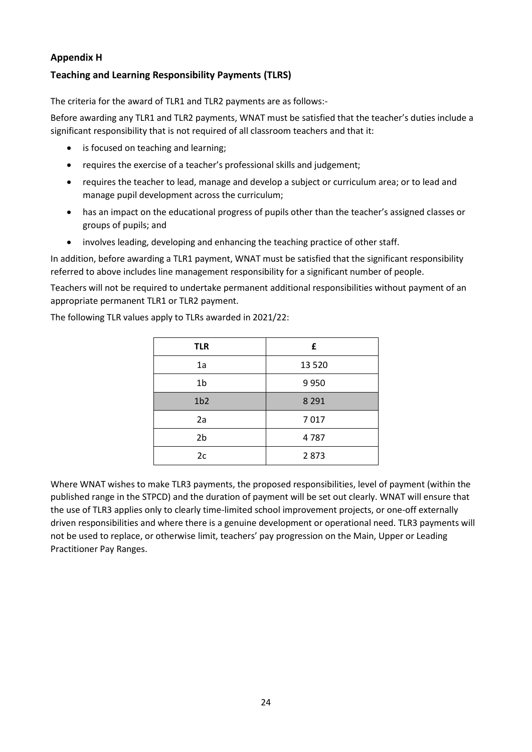## **Appendix H**

## **Teaching and Learning Responsibility Payments (TLRS)**

The criteria for the award of TLR1 and TLR2 payments are as follows:-

Before awarding any TLR1 and TLR2 payments, WNAT must be satisfied that the teacher's duties include a significant responsibility that is not required of all classroom teachers and that it:

- is focused on teaching and learning;
- requires the exercise of a teacher's professional skills and judgement;
- requires the teacher to lead, manage and develop a subject or curriculum area; or to lead and manage pupil development across the curriculum;
- has an impact on the educational progress of pupils other than the teacher's assigned classes or groups of pupils; and
- involves leading, developing and enhancing the teaching practice of other staff.

In addition, before awarding a TLR1 payment, WNAT must be satisfied that the significant responsibility referred to above includes line management responsibility for a significant number of people.

Teachers will not be required to undertake permanent additional responsibilities without payment of an appropriate permanent TLR1 or TLR2 payment.

The following TLR values apply to TLRs awarded in 2021/22:

| <b>TLR</b>      | £       |
|-----------------|---------|
| 1a              | 13 5 20 |
| 1 <sub>b</sub>  | 9950    |
| 1 <sub>b2</sub> | 8 2 9 1 |
| 2a              | 7017    |
| 2 <sub>b</sub>  | 4787    |
| 2c              | 2873    |

Where WNAT wishes to make TLR3 payments, the proposed responsibilities, level of payment (within the published range in the STPCD) and the duration of payment will be set out clearly. WNAT will ensure that the use of TLR3 applies only to clearly time-limited school improvement projects, or one-off externally driven responsibilities and where there is a genuine development or operational need. TLR3 payments will not be used to replace, or otherwise limit, teachers' pay progression on the Main, Upper or Leading Practitioner Pay Ranges.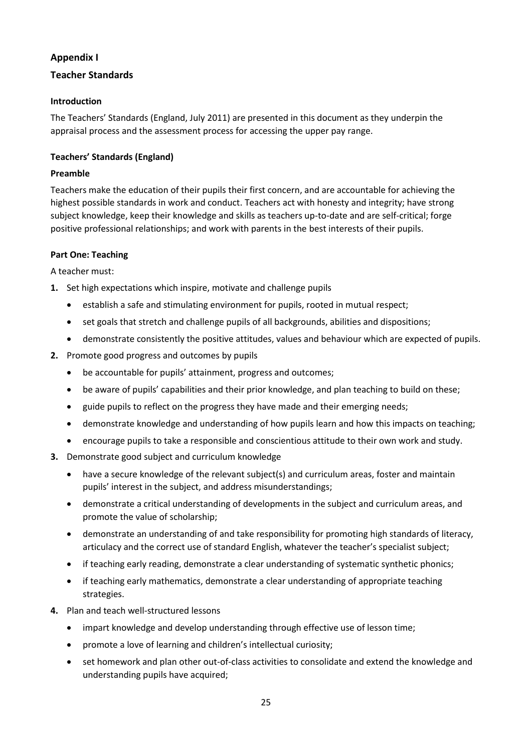## **Appendix I**

## **Teacher Standards**

## **Introduction**

The Teachers' Standards (England, July 2011) are presented in this document as they underpin the appraisal process and the assessment process for accessing the upper pay range.

## **Teachers' Standards (England)**

## **Preamble**

Teachers make the education of their pupils their first concern, and are accountable for achieving the highest possible standards in work and conduct. Teachers act with honesty and integrity; have strong subject knowledge, keep their knowledge and skills as teachers up-to-date and are self-critical; forge positive professional relationships; and work with parents in the best interests of their pupils.

## **Part One: Teaching**

A teacher must:

- **1.** Set high expectations which inspire, motivate and challenge pupils
	- establish a safe and stimulating environment for pupils, rooted in mutual respect;
	- set goals that stretch and challenge pupils of all backgrounds, abilities and dispositions;
	- demonstrate consistently the positive attitudes, values and behaviour which are expected of pupils.
- **2.** Promote good progress and outcomes by pupils
	- be accountable for pupils' attainment, progress and outcomes;
	- be aware of pupils' capabilities and their prior knowledge, and plan teaching to build on these;
	- guide pupils to reflect on the progress they have made and their emerging needs;
	- demonstrate knowledge and understanding of how pupils learn and how this impacts on teaching;
	- encourage pupils to take a responsible and conscientious attitude to their own work and study.
- **3.** Demonstrate good subject and curriculum knowledge
	- have a secure knowledge of the relevant subject(s) and curriculum areas, foster and maintain pupils' interest in the subject, and address misunderstandings;
	- demonstrate a critical understanding of developments in the subject and curriculum areas, and promote the value of scholarship;
	- demonstrate an understanding of and take responsibility for promoting high standards of literacy, articulacy and the correct use of standard English, whatever the teacher's specialist subject;
	- if teaching early reading, demonstrate a clear understanding of systematic synthetic phonics;
	- if teaching early mathematics, demonstrate a clear understanding of appropriate teaching strategies.
- **4.** Plan and teach well-structured lessons
	- impart knowledge and develop understanding through effective use of lesson time;
	- promote a love of learning and children's intellectual curiosity;
	- set homework and plan other out-of-class activities to consolidate and extend the knowledge and understanding pupils have acquired;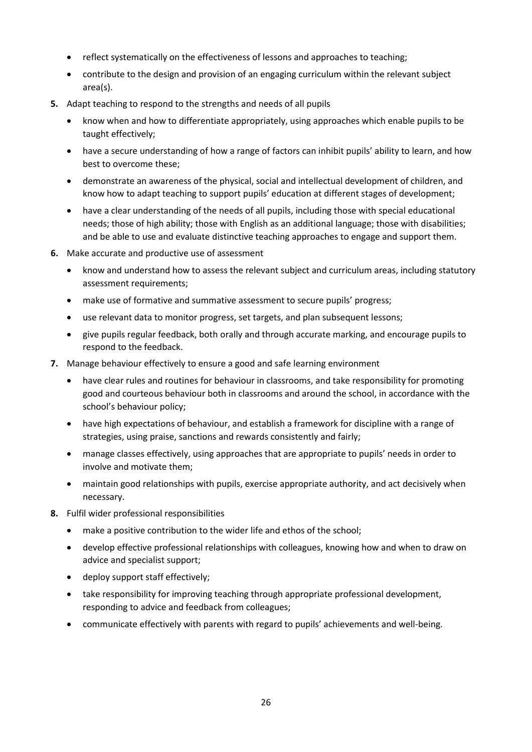- reflect systematically on the effectiveness of lessons and approaches to teaching;
- contribute to the design and provision of an engaging curriculum within the relevant subject area(s).
- **5.** Adapt teaching to respond to the strengths and needs of all pupils
	- know when and how to differentiate appropriately, using approaches which enable pupils to be taught effectively;
	- have a secure understanding of how a range of factors can inhibit pupils' ability to learn, and how best to overcome these;
	- demonstrate an awareness of the physical, social and intellectual development of children, and know how to adapt teaching to support pupils' education at different stages of development;
	- have a clear understanding of the needs of all pupils, including those with special educational needs; those of high ability; those with English as an additional language; those with disabilities; and be able to use and evaluate distinctive teaching approaches to engage and support them.
- **6.** Make accurate and productive use of assessment
	- know and understand how to assess the relevant subject and curriculum areas, including statutory assessment requirements;
	- make use of formative and summative assessment to secure pupils' progress;
	- use relevant data to monitor progress, set targets, and plan subsequent lessons;
	- give pupils regular feedback, both orally and through accurate marking, and encourage pupils to respond to the feedback.
- **7.** Manage behaviour effectively to ensure a good and safe learning environment
	- have clear rules and routines for behaviour in classrooms, and take responsibility for promoting good and courteous behaviour both in classrooms and around the school, in accordance with the school's behaviour policy;
	- have high expectations of behaviour, and establish a framework for discipline with a range of strategies, using praise, sanctions and rewards consistently and fairly;
	- manage classes effectively, using approaches that are appropriate to pupils' needs in order to involve and motivate them;
	- maintain good relationships with pupils, exercise appropriate authority, and act decisively when necessary.
- **8.** Fulfil wider professional responsibilities
	- make a positive contribution to the wider life and ethos of the school;
	- develop effective professional relationships with colleagues, knowing how and when to draw on advice and specialist support;
	- deploy support staff effectively;
	- take responsibility for improving teaching through appropriate professional development, responding to advice and feedback from colleagues;
	- communicate effectively with parents with regard to pupils' achievements and well-being.